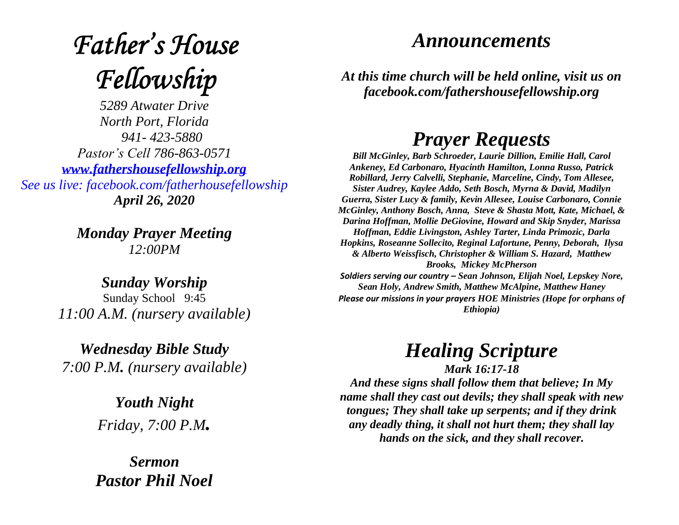# **Father's House** Fellowship

*5289 Atwater Drive North Port, Florida 941- 423-5880 Pastor's Cell 786-863-0571 [www.fathershousefellowship.org](http://www.fathershousefellowship.org/) See us live: facebook.com/fatherhousefellowship April 26, 2020*

> *Monday Prayer Meeting 12:00PM*

*Sunday Worship* Sunday School 9:45 *11:00 A.M. (nursery available)*

*Wednesday Bible Study 7:00 P.M. (nursery available)*

> *Youth Night Friday, 7:00 P.M.*

*Sermon Pastor Phil Noel*

### *Announcements*

*At this time church will be held online, visit us on facebook.com/fathershousefellowship.org*

## *Prayer Requests*

*Bill McGinley, Barb Schroeder, Laurie Dillion, Emilie Hall, Carol Ankeney, Ed Carbonaro, Hyacinth Hamilton, Lonna Russo, Patrick Robillard, Jerry Calvelli, Stephanie, Marceline, Cindy, Tom Allesee, Sister Audrey, Kaylee Addo, Seth Bosch, Myrna & David, Madilyn Guerra, Sister Lucy & family, Kevin Allesee, Louise Carbonaro, Connie McGinley, Anthony Bosch, Anna, Steve & Shasta Mott, Kate, Michael, & Darina Hoffman, Mollie DeGiovine, Howard and Skip Snyder, Marissa Hoffman, Eddie Livingston, Ashley Tarter, Linda Primozic, Darla Hopkins, Roseanne Sollecito, Reginal Lafortune, Penny, Deborah, Ilysa & Alberto Weissfisch, Christopher & William S. Hazard, Matthew Brooks, Mickey McPherson Soldiers serving our country – Sean Johnson, Elijah Noel, Lepskey Nore, Sean Holy, Andrew Smith, Matthew McAlpine, Matthew Haney*

*Please our missions in your prayers HOE Ministries (Hope for orphans of Ethiopia)*

*Healing Scripture*

*Mark 16:17-18 And these signs shall follow them that believe; In My name shall they cast out devils; they shall speak with new tongues; They shall take up serpents; and if they drink any deadly thing, it shall not hurt them; they shall lay hands on the sick, and they shall recover.*